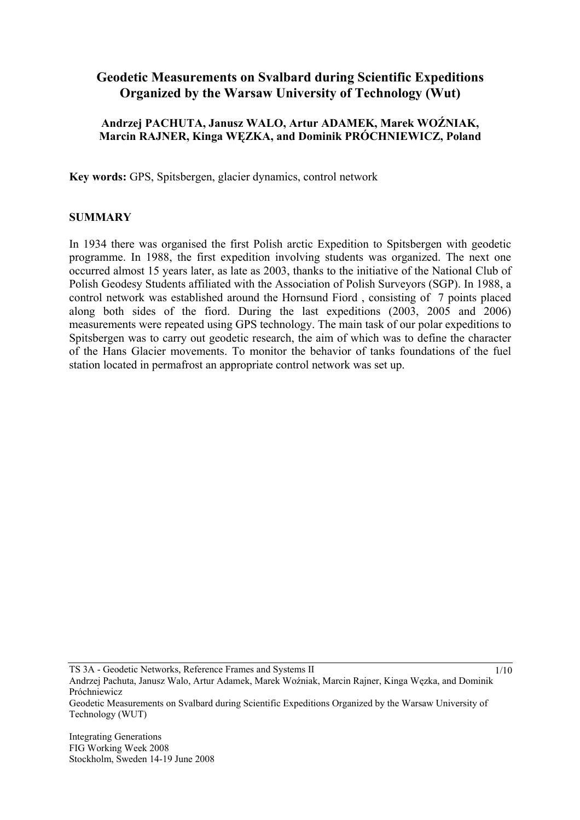# **Geodetic Measurements on Svalbard during Scientific Expeditions Organized by the Warsaw University of Technology (Wut)**

### **Andrzej PACHUTA, Janusz WALO, Artur ADAMEK, Marek WOŹNIAK, Marcin RAJNER, Kinga WĘZKA, and Dominik PRÓCHNIEWICZ, Poland**

**Key words:** GPS, Spitsbergen, glacier dynamics, control network

#### **SUMMARY**

In 1934 there was organised the first Polish arctic Expedition to Spitsbergen with geodetic programme. In 1988, the first expedition involving students was organized. The next one occurred almost 15 years later, as late as 2003, thanks to the initiative of the National Club of Polish Geodesy Students affiliated with the Association of Polish Surveyors (SGP). In 1988, a control network was established around the Hornsund Fiord , consisting of 7 points placed along both sides of the fiord. During the last expeditions (2003, 2005 and 2006) measurements were repeated using GPS technology. The main task of our polar expeditions to Spitsbergen was to carry out geodetic research, the aim of which was to define the character of the Hans Glacier movements. To monitor the behavior of tanks foundations of the fuel station located in permafrost an appropriate control network was set up.

TS 3A - Geodetic Networks, Reference Frames and Systems II Andrzej Pachuta, Janusz Walo, Artur Adamek, Marek Woźniak, Marcin Rajner, Kinga Węzka, and Dominik Próchniewicz Geodetic Measurements on Svalbard during Scientific Expeditions Organized by the Warsaw University of Technology (WUT)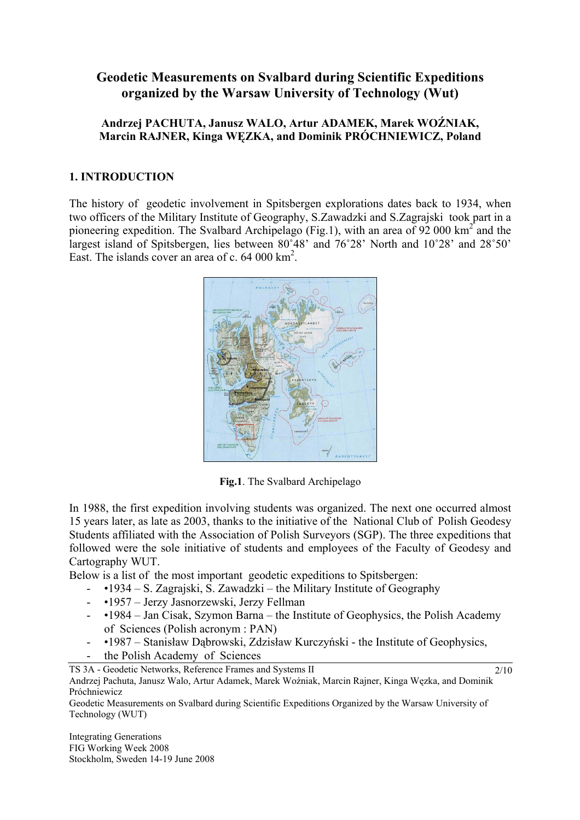# **Geodetic Measurements on Svalbard during Scientific Expeditions organized by the Warsaw University of Technology (Wut)**

### **Andrzej PACHUTA, Janusz WALO, Artur ADAMEK, Marek WOŹNIAK, Marcin RAJNER, Kinga WĘZKA, and Dominik PRÓCHNIEWICZ, Poland**

### **1. INTRODUCTION**

The history of geodetic involvement in Spitsbergen explorations dates back to 1934, when two officers of the Military Institute of Geography, S.Zawadzki and S.Zagrajski took part in a pioneering expedition. The Svalbard Archipelago (Fig.1), with an area of  $92\,000 \text{ km}^2$  and the largest island of Spitsbergen, lies between 80˚48' and 76˚28' North and 10˚28' and 28˚50' East. The islands cover an area of c. 64 000 km<sup>2</sup>.



**Fig.1**. The Svalbard Archipelago

In 1988, the first expedition involving students was organized. The next one occurred almost 15 years later, as late as 2003, thanks to the initiative of the National Club of Polish Geodesy Students affiliated with the Association of Polish Surveyors (SGP). The three expeditions that followed were the sole initiative of students and employees of the Faculty of Geodesy and Cartography WUT.

Below is a list of the most important geodetic expeditions to Spitsbergen:

- •1934 S. Zagrajski, S. Zawadzki the Military Institute of Geography
- •1957 Jerzy Jasnorzewski, Jerzy Fellman

TS 3A - Geodetic Networks, Reference Frames and Systems II

- •1984 Jan Cisak, Szymon Barna the Institute of Geophysics, the Polish Academy of Sciences (Polish acronym : PAN)
- •1987 Stanisław Dąbrowski, Zdzisław Kurczyński the Institute of Geophysics,
- the Polish Academy of Sciences

2/10

Andrzej Pachuta, Janusz Walo, Artur Adamek, Marek Woźniak, Marcin Rajner, Kinga Węzka, and Dominik Próchniewicz

Geodetic Measurements on Svalbard during Scientific Expeditions Organized by the Warsaw University of Technology (WUT)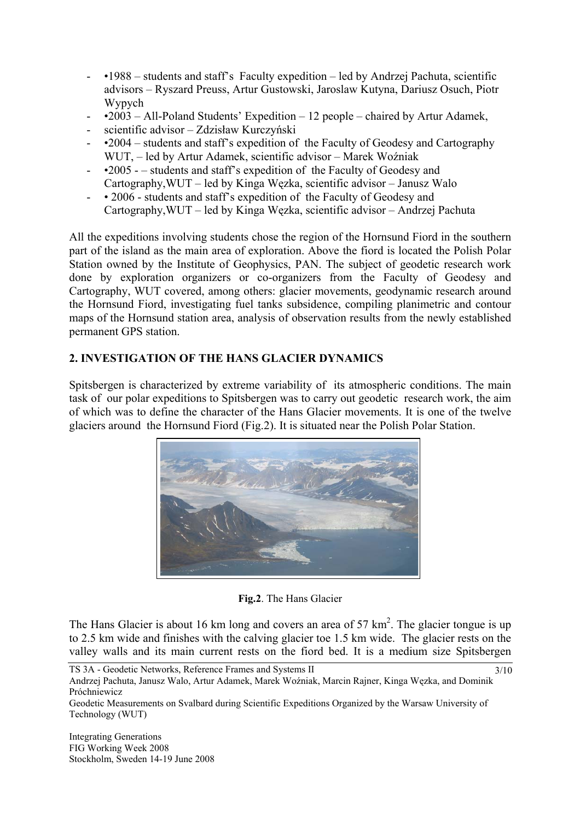- •1988 students and staff's Faculty expedition led by Andrzej Pachuta, scientific advisors – Ryszard Preuss, Artur Gustowski, Jaroslaw Kutyna, Dariusz Osuch, Piotr Wypych
- $\text{-}$  •2003 All-Poland Students' Expedition 12 people chaired by Artur Adamek,
- scientific advisor Zdzisław Kurczyński
- •2004 students and staff's expedition of the Faculty of Geodesy and Cartography WUT, – led by Artur Adamek, scientific advisor – Marek Woźniak
- •2005 – students and staff's expedition of the Faculty of Geodesy and Cartography,WUT – led by Kinga Węzka, scientific advisor – Janusz Walo
- • 2006 students and staff's expedition of the Faculty of Geodesy and Cartography,WUT – led by Kinga Węzka, scientific advisor – Andrzej Pachuta

All the expeditions involving students chose the region of the Hornsund Fiord in the southern part of the island as the main area of exploration. Above the fiord is located the Polish Polar Station owned by the Institute of Geophysics, PAN. The subject of geodetic research work done by exploration organizers or co-organizers from the Faculty of Geodesy and Cartography, WUT covered, among others: glacier movements, geodynamic research around the Hornsund Fiord, investigating fuel tanks subsidence, compiling planimetric and contour maps of the Hornsund station area, analysis of observation results from the newly established permanent GPS station.

### **2. INVESTIGATION OF THE HANS GLACIER DYNAMICS**

Spitsbergen is characterized by extreme variability of its atmospheric conditions. The main task of our polar expeditions to Spitsbergen was to carry out geodetic research work, the aim of which was to define the character of the Hans Glacier movements. It is one of the twelve glaciers around the Hornsund Fiord (Fig.2). It is situated near the Polish Polar Station.



### **Fig.2**. The Hans Glacier

The Hans Glacier is about 16 km long and covers an area of 57  $\text{km}^2$ . The glacier tongue is up to 2.5 km wide and finishes with the calving glacier toe 1.5 km wide. The glacier rests on the valley walls and its main current rests on the fiord bed. It is a medium size Spitsbergen

TS 3A - Geodetic Networks, Reference Frames and Systems II Andrzej Pachuta, Janusz Walo, Artur Adamek, Marek Woźniak, Marcin Rajner, Kinga Węzka, and Dominik Próchniewicz 3/10

Geodetic Measurements on Svalbard during Scientific Expeditions Organized by the Warsaw University of Technology (WUT)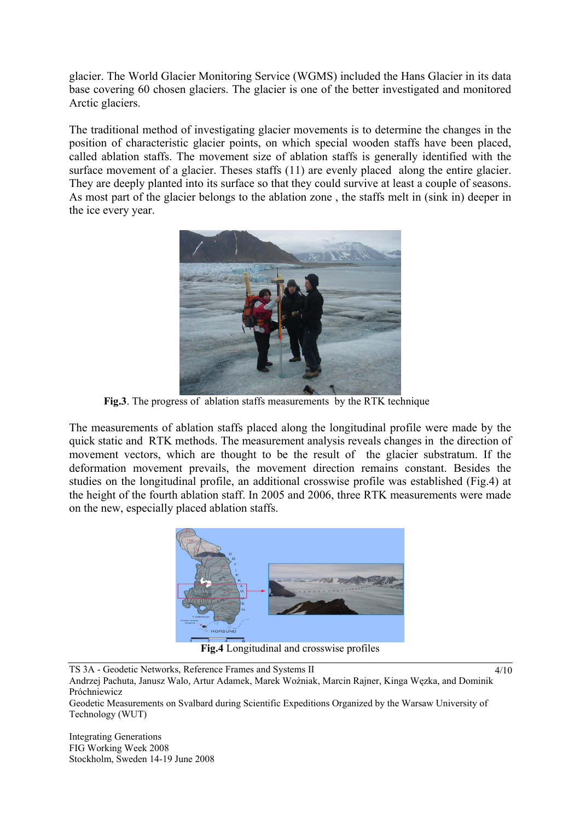glacier. The World Glacier Monitoring Service (WGMS) included the Hans Glacier in its data base covering 60 chosen glaciers. The glacier is one of the better investigated and monitored Arctic glaciers.

The traditional method of investigating glacier movements is to determine the changes in the position of characteristic glacier points, on which special wooden staffs have been placed, called ablation staffs. The movement size of ablation staffs is generally identified with the surface movement of a glacier. Theses staffs (11) are evenly placed along the entire glacier. They are deeply planted into its surface so that they could survive at least a couple of seasons. As most part of the glacier belongs to the ablation zone , the staffs melt in (sink in) deeper in the ice every year.



**Fig.3**. The progress of ablation staffs measurements by the RTK technique

The measurements of ablation staffs placed along the longitudinal profile were made by the quick static and RTK methods. The measurement analysis reveals changes in the direction of movement vectors, which are thought to be the result of the glacier substratum. If the deformation movement prevails, the movement direction remains constant. Besides the studies on the longitudinal profile, an additional crosswise profile was established (Fig.4) at the height of the fourth ablation staff. In 2005 and 2006, three RTK measurements were made on the new, especially placed ablation staffs.



**Fig.4** Longitudinal and crosswise profiles

Technology (WUT)

TS 3A - Geodetic Networks, Reference Frames and Systems II Andrzej Pachuta, Janusz Walo, Artur Adamek, Marek Woźniak, Marcin Rajner, Kinga Węzka, and Dominik Próchniewicz Geodetic Measurements on Svalbard during Scientific Expeditions Organized by the Warsaw University of 4/10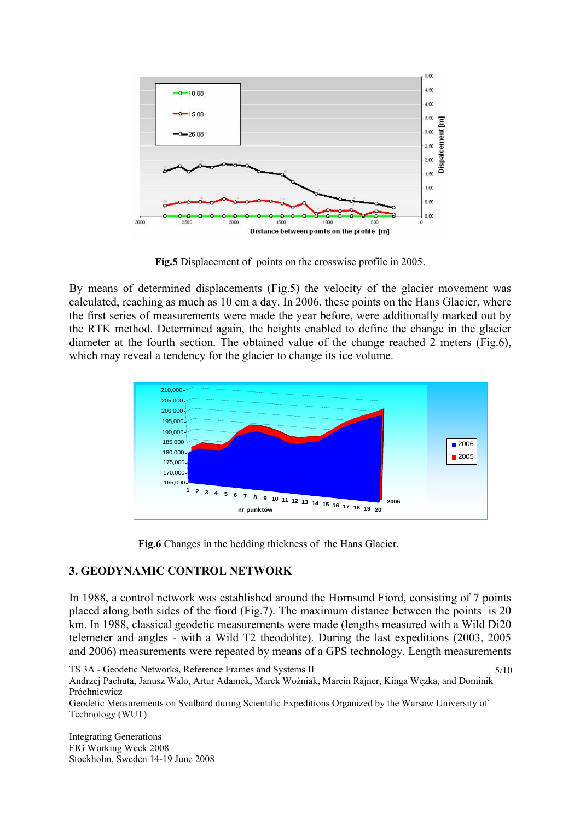

**Fig.5** Displacement of points on the crosswise profile in 2005.

By means of determined displacements (Fig.5) the velocity of the glacier movement was calculated, reaching as much as 10 cm a day. In 2006, these points on the Hans Glacier, where the first series of measurements were made the year before, were additionally marked out by the RTK method. Determined again, the heights enabled to define the change in the glacier diameter at the fourth section. The obtained value of the change reached 2 meters (Fig.6), which may reveal a tendency for the glacier to change its ice volume.



 **Fig.6** Changes in the bedding thickness of the Hans Glacier.

### **3. GEODYNAMIC CONTROL NETWORK**

In 1988, a control network was established around the Hornsund Fiord, consisting of 7 points placed along both sides of the fiord (Fig.7). The maximum distance between the points is 20 km. In 1988, classical geodetic measurements were made (lengths measured with a Wild Di20 telemeter and angles - with a Wild T2 theodolite). During the last expeditions (2003, 2005 and 2006) measurements were repeated by means of a GPS technology. Length measurements

TS 3A - Geodetic Networks, Reference Frames and Systems II Andrzej Pachuta, Janusz Walo, Artur Adamek, Marek Woźniak, Marcin Rajner, Kinga Węzka, and Dominik Próchniewicz 5/10

Geodetic Measurements on Svalbard during Scientific Expeditions Organized by the Warsaw University of Technology (WUT)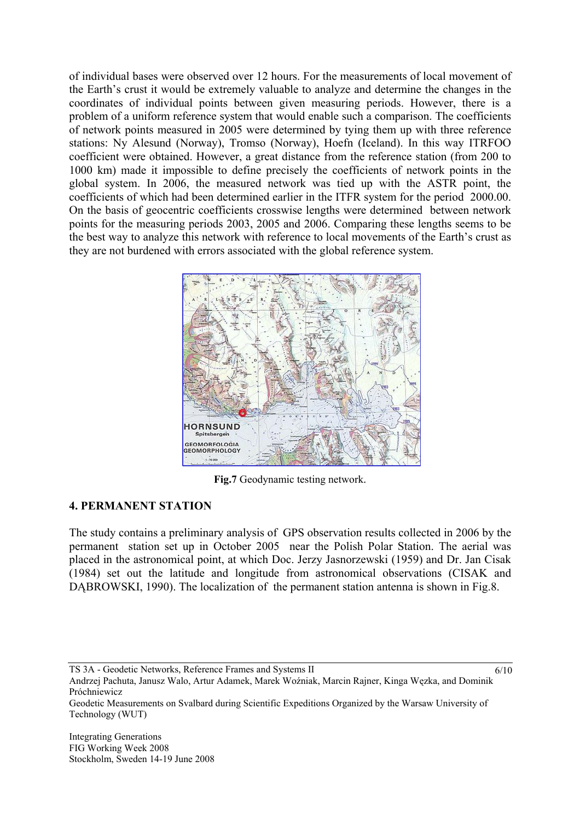of individual bases were observed over 12 hours. For the measurements of local movement of the Earth's crust it would be extremely valuable to analyze and determine the changes in the coordinates of individual points between given measuring periods. However, there is a problem of a uniform reference system that would enable such a comparison. The coefficients of network points measured in 2005 were determined by tying them up with three reference stations: Ny Alesund (Norway), Tromso (Norway), Hoefn (Iceland). In this way ITRFOO coefficient were obtained. However, a great distance from the reference station (from 200 to 1000 km) made it impossible to define precisely the coefficients of network points in the global system. In 2006, the measured network was tied up with the ASTR point, the coefficients of which had been determined earlier in the ITFR system for the period 2000.00. On the basis of geocentric coefficients crosswise lengths were determined between network points for the measuring periods 2003, 2005 and 2006. Comparing these lengths seems to be the best way to analyze this network with reference to local movements of the Earth's crust as they are not burdened with errors associated with the global reference system.



**Fig.7** Geodynamic testing network.

### **4. PERMANENT STATION**

The study contains a preliminary analysis of GPS observation results collected in 2006 by the permanent station set up in October 2005 near the Polish Polar Station. The aerial was placed in the astronomical point, at which Doc. Jerzy Jasnorzewski (1959) and Dr. Jan Cisak (1984) set out the latitude and longitude from astronomical observations (CISAK and DABROWSKI, 1990). The localization of the permanent station antenna is shown in Fig.8.

TS 3A - Geodetic Networks, Reference Frames and Systems II

6/10

Andrzej Pachuta, Janusz Walo, Artur Adamek, Marek Woźniak, Marcin Rajner, Kinga Węzka, and Dominik Próchniewicz

Geodetic Measurements on Svalbard during Scientific Expeditions Organized by the Warsaw University of Technology (WUT)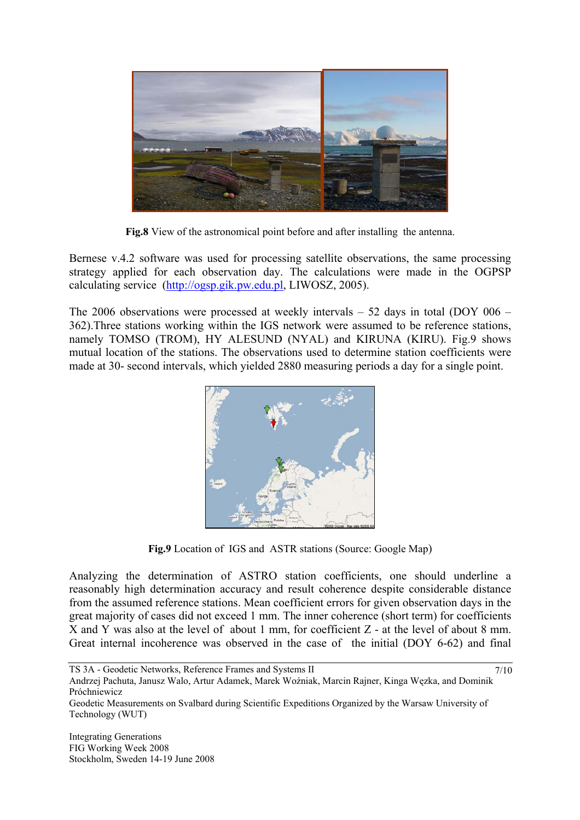

**Fig.8** View of the astronomical point before and after installing the antenna.

Bernese v.4.2 software was used for processing satellite observations, the same processing strategy applied for each observation day. The calculations were made in the OGPSP calculating service (http://ogsp.gik.pw.edu.pl, LIWOSZ, 2005).

The 2006 observations were processed at weekly intervals – 52 days in total (DOY 006 – 362).Three stations working within the IGS network were assumed to be reference stations, namely TOMSO (TROM), HY ALESUND (NYAL) and KIRUNA (KIRU). Fig.9 shows mutual location of the stations. The observations used to determine station coefficients were made at 30- second intervals, which yielded 2880 measuring periods a day for a single point.



**Fig.9** Location of IGS and ASTR stations (Source: Google Map)

Analyzing the determination of ASTRO station coefficients, one should underline a reasonably high determination accuracy and result coherence despite considerable distance from the assumed reference stations. Mean coefficient errors for given observation days in the great majority of cases did not exceed 1 mm. The inner coherence (short term) for coefficients X and Y was also at the level of about 1 mm, for coefficient Z - at the level of about 8 mm. Great internal incoherence was observed in the case of the initial (DOY 6-62) and final

7/10

Andrzej Pachuta, Janusz Walo, Artur Adamek, Marek Woźniak, Marcin Rajner, Kinga Węzka, and Dominik Próchniewicz

Geodetic Measurements on Svalbard during Scientific Expeditions Organized by the Warsaw University of Technology (WUT)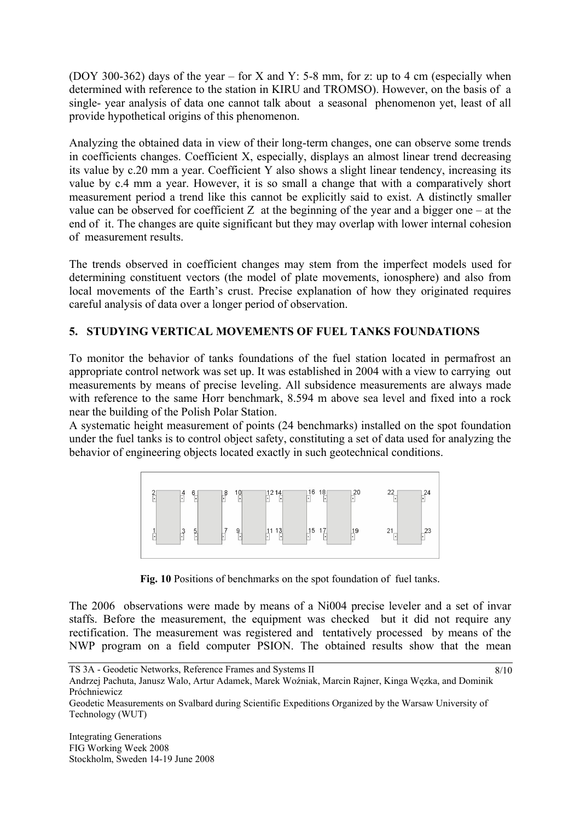(DOY 300-362) days of the year – for X and Y: 5-8 mm, for z: up to 4 cm (especially when determined with reference to the station in KIRU and TROMSO). However, on the basis of a single- year analysis of data one cannot talk about a seasonal phenomenon yet, least of all provide hypothetical origins of this phenomenon.

Analyzing the obtained data in view of their long-term changes, one can observe some trends in coefficients changes. Coefficient X, especially, displays an almost linear trend decreasing its value by c.20 mm a year. Coefficient Y also shows a slight linear tendency, increasing its value by c.4 mm a year. However, it is so small a change that with a comparatively short measurement period a trend like this cannot be explicitly said to exist. A distinctly smaller value can be observed for coefficient Z at the beginning of the year and a bigger one – at the end of it. The changes are quite significant but they may overlap with lower internal cohesion of measurement results.

The trends observed in coefficient changes may stem from the imperfect models used for determining constituent vectors (the model of plate movements, ionosphere) and also from local movements of the Earth's crust. Precise explanation of how they originated requires careful analysis of data over a longer period of observation.

## **5. STUDYING VERTICAL MOVEMENTS OF FUEL TANKS FOUNDATIONS**

To monitor the behavior of tanks foundations of the fuel station located in permafrost an appropriate control network was set up. It was established in 2004 with a view to carrying out measurements by means of precise leveling. All subsidence measurements are always made with reference to the same Horr benchmark, 8.594 m above sea level and fixed into a rock near the building of the Polish Polar Station.

A systematic height measurement of points (24 benchmarks) installed on the spot foundation under the fuel tanks is to control object safety, constituting a set of data used for analyzing the behavior of engineering objects located exactly in such geotechnical conditions.



**Fig. 10** Positions of benchmarks on the spot foundation of fuel tanks.

The 2006 observations were made by means of a Ni004 precise leveler and a set of invar staffs. Before the measurement, the equipment was checked but it did not require any rectification. The measurement was registered and tentatively processed by means of the NWP program on a field computer PSION. The obtained results show that the mean

TS 3A - Geodetic Networks, Reference Frames and Systems II

Andrzej Pachuta, Janusz Walo, Artur Adamek, Marek Woźniak, Marcin Rajner, Kinga Węzka, and Dominik Próchniewicz

Geodetic Measurements on Svalbard during Scientific Expeditions Organized by the Warsaw University of Technology (WUT)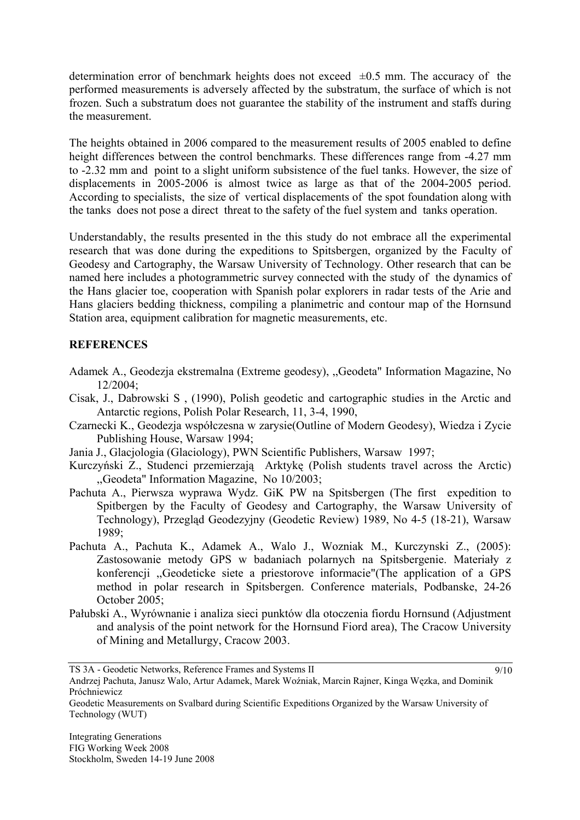determination error of benchmark heights does not exceed  $\pm 0.5$  mm. The accuracy of the performed measurements is adversely affected by the substratum, the surface of which is not frozen. Such a substratum does not guarantee the stability of the instrument and staffs during the measurement.

The heights obtained in 2006 compared to the measurement results of 2005 enabled to define height differences between the control benchmarks. These differences range from -4.27 mm to -2.32 mm and point to a slight uniform subsistence of the fuel tanks. However, the size of displacements in 2005-2006 is almost twice as large as that of the 2004-2005 period. According to specialists, the size of vertical displacements of the spot foundation along with the tanks does not pose a direct threat to the safety of the fuel system and tanks operation.

Understandably, the results presented in the this study do not embrace all the experimental research that was done during the expeditions to Spitsbergen, organized by the Faculty of Geodesy and Cartography, the Warsaw University of Technology. Other research that can be named here includes a photogrammetric survey connected with the study of the dynamics of the Hans glacier toe, cooperation with Spanish polar explorers in radar tests of the Arie and Hans glaciers bedding thickness, compiling a planimetric and contour map of the Hornsund Station area, equipment calibration for magnetic measurements, etc.

## **REFERENCES**

- Adamek A., Geodezja ekstremalna (Extreme geodesy), ,,Geodeta" Information Magazine, No 12/2004;
- Cisak, J., Dabrowski S , (1990), Polish geodetic and cartographic studies in the Arctic and Antarctic regions, Polish Polar Research, 11, 3-4, 1990,
- Czarnecki K., Geodezja współczesna w zarysie(Outline of Modern Geodesy), Wiedza i Zycie Publishing House, Warsaw 1994;
- Jania J., Glacjologia (Glaciology), PWN Scientific Publishers, Warsaw 1997;
- Kurczyński Z., Studenci przemierzają Arktykę (Polish students travel across the Arctic) ,,Geodeta" Information Magazine, No 10/2003;
- Pachuta A., Pierwsza wyprawa Wydz. GiK PW na Spitsbergen (The first expedition to Spitbergen by the Faculty of Geodesy and Cartography, the Warsaw University of Technology), Przegląd Geodezyjny (Geodetic Review) 1989, No 4-5 (18-21), Warsaw 1989;
- Pachuta A., Pachuta K., Adamek A., Walo J., Wozniak M., Kurczynski Z., (2005): Zastosowanie metody GPS w badaniach polarnych na Spitsbergenie. Materiały z konferencji ,,Geodeticke siete a priestorove informacie"(The application of a GPS method in polar research in Spitsbergen. Conference materials, Podbanske, 24-26 October 2005;
- Pałubski A., Wyrównanie i analiza sieci punktów dla otoczenia fiordu Hornsund (Adjustment and analysis of the point network for the Hornsund Fiord area), The Cracow University of Mining and Metallurgy, Cracow 2003.

TS 3A - Geodetic Networks, Reference Frames and Systems II

9/10

Andrzej Pachuta, Janusz Walo, Artur Adamek, Marek Woźniak, Marcin Rajner, Kinga Węzka, and Dominik Próchniewicz

Geodetic Measurements on Svalbard during Scientific Expeditions Organized by the Warsaw University of Technology (WUT)